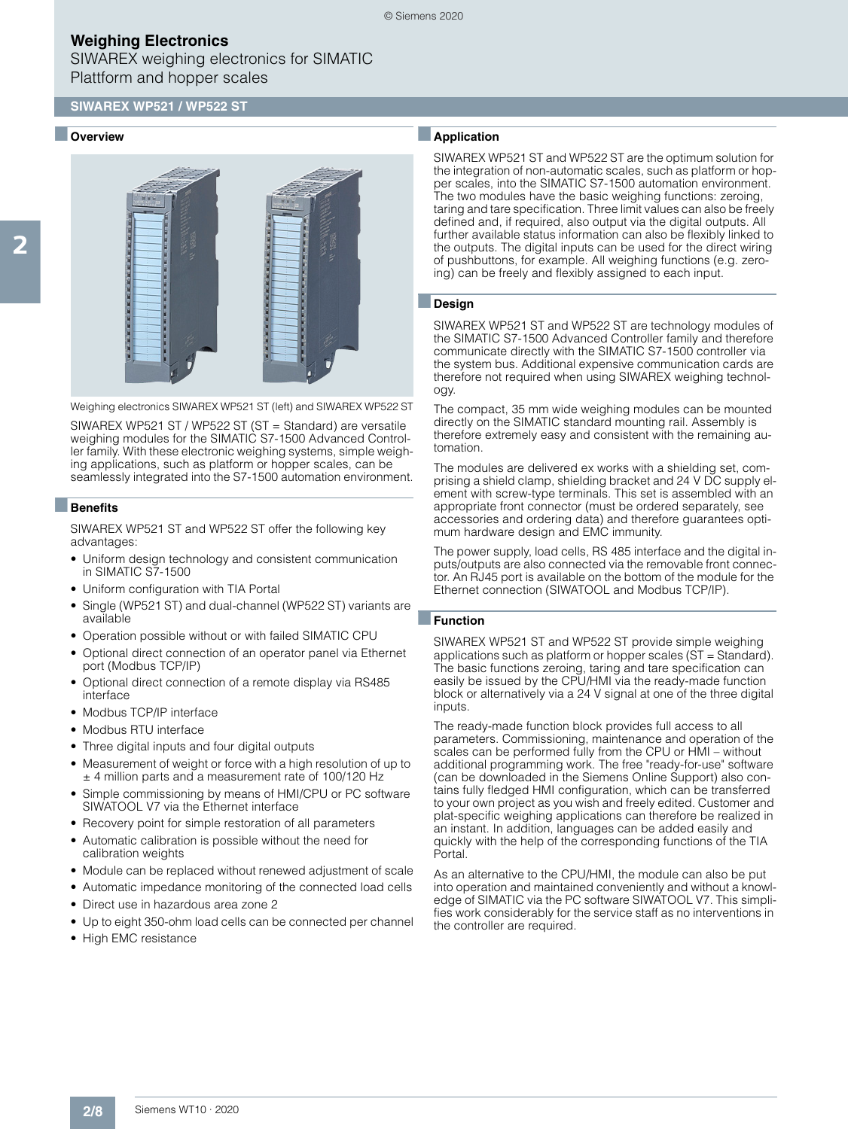## **Weighing Electronics**

SIWAREX weighing electronics for SIMATIC Plattform and hopper scales

### **SIWAREX WP521 / WP522 ST**

#### **Overview**



Weighing electronics SIWAREX WP521 ST (left) and SIWAREX WP522 ST

SIWAREX WP521 ST / WP522 ST (ST = Standard) are versatile weighing modules for the SIMATIC S7-1500 Advanced Controller family. With these electronic weighing systems, simple weighing applications, such as platform or hopper scales, can be seamlessly integrated into the S7-1500 automation environment.

#### ■**Benefits**

SIWAREX WP521 ST and WP522 ST offer the following key advantages:

- Uniform design technology and consistent communication in SIMATIC S7-1500
- Uniform configuration with TIA Portal
- Single (WP521 ST) and dual-channel (WP522 ST) variants are available
- Operation possible without or with failed SIMATIC CPU
- Optional direct connection of an operator panel via Ethernet port (Modbus TCP/IP)
- Optional direct connection of a remote display via RS485 interface
- Modbus TCP/IP interface
- Modbus RTU interface
- Three digital inputs and four digital outputs
- Measurement of weight or force with a high resolution of up to ± 4 million parts and a measurement rate of 100/120 Hz
- Simple commissioning by means of HMI/CPU or PC software SIWATOOL V7 via the Ethernet interface
- Recovery point for simple restoration of all parameters
- Automatic calibration is possible without the need for calibration weights
- Module can be replaced without renewed adjustment of scale
- Automatic impedance monitoring of the connected load cells
- Direct use in hazardous area zone 2
- Up to eight 350-ohm load cells can be connected per channel
- High EMC resistance

### ■**Application**

SIWAREX WP521 ST and WP522 ST are the optimum solution for the integration of non-automatic scales, such as platform or hopper scales, into the SIMATIC S7-1500 automation environment. The two modules have the basic weighing functions: zeroing, taring and tare specification. Three limit values can also be freely defined and, if required, also output via the digital outputs. All further available status information can also be flexibly linked to the outputs. The digital inputs can be used for the direct wiring of pushbuttons, for example. All weighing functions (e.g. zeroing) can be freely and flexibly assigned to each input.

#### ■**Design**

SIWAREX WP521 ST and WP522 ST are technology modules of the SIMATIC S7-1500 Advanced Controller family and therefore communicate directly with the SIMATIC S7-1500 controller via the system bus. Additional expensive communication cards are therefore not required when using SIWAREX weighing technology.

The compact, 35 mm wide weighing modules can be mounted directly on the SIMATIC standard mounting rail. Assembly is therefore extremely easy and consistent with the remaining automation.

The modules are delivered ex works with a shielding set, comprising a shield clamp, shielding bracket and 24 V DC supply element with screw-type terminals. This set is assembled with an appropriate front connector (must be ordered separately, see accessories and ordering data) and therefore guarantees optimum hardware design and EMC immunity.

The power supply, load cells, RS 485 interface and the digital inputs/outputs are also connected via the removable front connector. An RJ45 port is available on the bottom of the module for the Ethernet connection (SIWATOOL and Modbus TCP/IP).

#### ■**Function**

SIWAREX WP521 ST and WP522 ST provide simple weighing applications such as platform or hopper scales (ST = Standard). The basic functions zeroing, taring and tare specification can easily be issued by the CPU/HMI via the ready-made function block or alternatively via a 24 V signal at one of the three digital inputs.

The ready-made function block provides full access to all parameters. Commissioning, maintenance and operation of the scales can be performed fully from the CPU or HMI – without additional programming work. The free "ready-for-use" software (can be downloaded in the Siemens Online Support) also contains fully fledged HMI configuration, which can be transferred to your own project as you wish and freely edited. Customer and plat-specific weighing applications can therefore be realized in an instant. In addition, languages can be added easily and quickly with the help of the corresponding functions of the TIA Portal.

As an alternative to the CPU/HMI, the module can also be put into operation and maintained conveniently and without a knowledge of SIMATIC via the PC software SIWATOOL V7. This simplifies work considerably for the service staff as no interventions in the controller are required.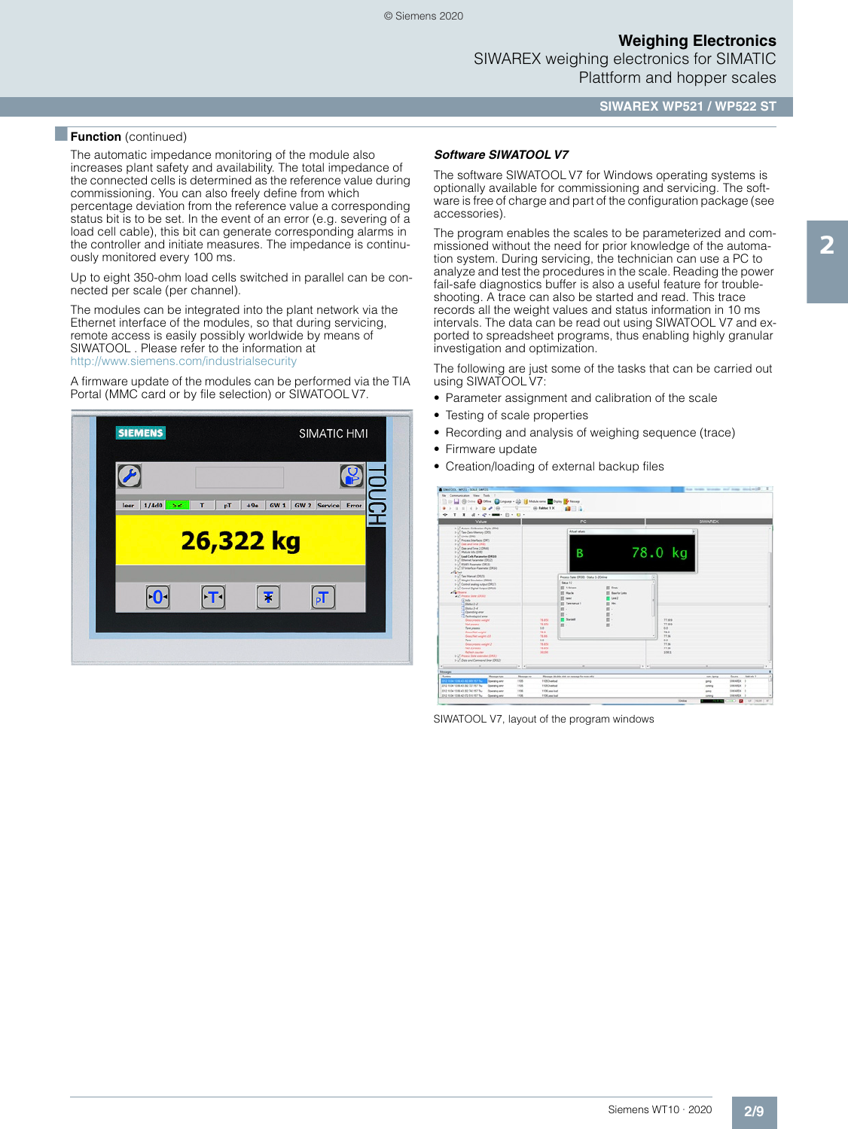**Weighing Electronics** SIWAREX weighing electronics for SIMATIC Plattform and hopper scales

**SIWAREX WP521 / WP522 ST**

### **Function** (continued)

The automatic impedance monitoring of the module also increases plant safety and availability. The total impedance of the connected cells is determined as the reference value during commissioning. You can also freely define from which percentage deviation from the reference value a corresponding status bit is to be set. In the event of an error (e.g. severing of a load cell cable), this bit can generate corresponding alarms in the controller and initiate measures. The impedance is continuously monitored every 100 ms.

Up to eight 350-ohm load cells switched in parallel can be connected per scale (per channel).

The modules can be integrated into the plant network via the Ethernet interface of the modules, so that during servicing, remote access is easily possibly worldwide by means of SIWATOOL . Please refer to the information at <http://www.siemens.com/industrialsecurity>

A firmware update of the modules can be performed via the TIA Portal (MMC card or by file selection) or SIWATOOL V7.



#### *Software SIWATOOL V7*

The software SIWATOOL V7 for Windows operating systems is optionally available for commissioning and servicing. The software is free of charge and part of the configuration package (see accessories).

The program enables the scales to be parameterized and commissioned without the need for prior knowledge of the automation system. During servicing, the technician can use a PC to analyze and test the procedures in the scale. Reading the power fail-safe diagnostics buffer is also a useful feature for troubleshooting. A trace can also be started and read. This trace records all the weight values and status information in 10 ms intervals. The data can be read out using SIWATOOL V7 and exported to spreadsheet programs, thus enabling highly granular investigation and optimization.

The following are just some of the tasks that can be carried out using SIWATOOL V7:

- Parameter assignment and calibration of the scale
- Testing of scale properties
- Recording and analysis of weighing sequence (trace)
- Firmware update
- Creation/loading of external backup files



SIWATOOL V7, layout of the program windows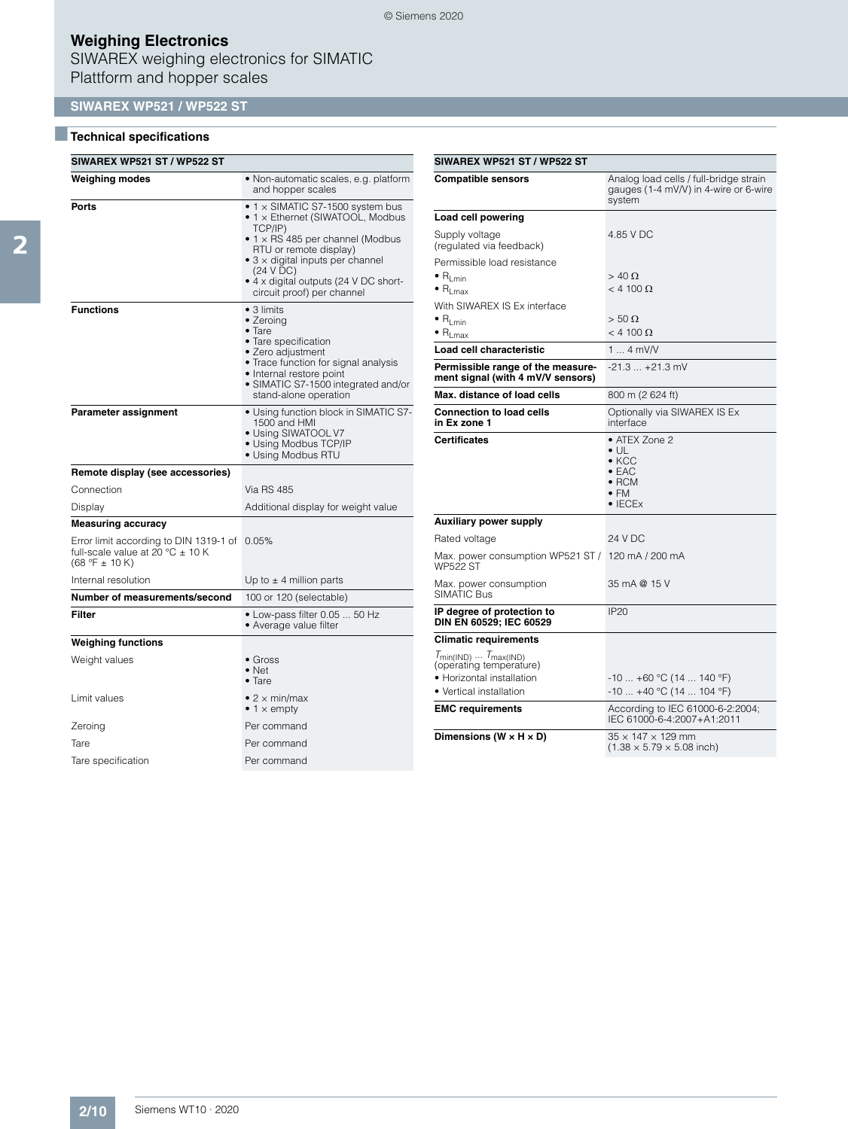# **Weighing Electronics**

SIWAREX weighing electronics for SIMATIC Plattform and hopper scales

## **SIWAREX WP521 / WP522 ST**

## ■**Technical specifications**

| <b>SIWAREX WP521 ST / WP522 ST</b>                                                               |                                                                                                                                                                                                                                                                                                                                                                                                                                                                                                                                           |  |  |
|--------------------------------------------------------------------------------------------------|-------------------------------------------------------------------------------------------------------------------------------------------------------------------------------------------------------------------------------------------------------------------------------------------------------------------------------------------------------------------------------------------------------------------------------------------------------------------------------------------------------------------------------------------|--|--|
| Weighing modes                                                                                   | • Non-automatic scales, e.g. platform<br>and hopper scales                                                                                                                                                                                                                                                                                                                                                                                                                                                                                |  |  |
| Ports                                                                                            | • 1 x SIMATIC S7-1500 system bus<br>• 1 x Ethernet (SIWATOOL, Modbus<br>TCP/IP)<br>$\bullet$ 1 $\times$ RS 485 per channel (Modbus<br>RTU or remote display)<br>$\bullet$ 3 $\times$ digital inputs per channel<br>(24 V DC)<br>• 4 x digital outputs (24 V DC short-<br>circuit proof) per channel<br>$\bullet$ 3 limits<br>• Zeroing<br>$\bullet$ Tare<br>• Tare specification<br>• Zero adjustment<br>• Trace function for signal analysis<br>• Internal restore point<br>• SIMATIC S7-1500 integrated and/or<br>stand-alone operation |  |  |
| <b>Functions</b>                                                                                 |                                                                                                                                                                                                                                                                                                                                                                                                                                                                                                                                           |  |  |
| Parameter assignment                                                                             | • Using function block in SIMATIC S7-<br>1500 and HMI<br>• Using SIWATOOL V7<br>• Using Modbus TCP/IP<br>• Using Modbus RTU                                                                                                                                                                                                                                                                                                                                                                                                               |  |  |
| Remote display (see accessories)                                                                 |                                                                                                                                                                                                                                                                                                                                                                                                                                                                                                                                           |  |  |
| Connection                                                                                       | <b>Via RS 485</b>                                                                                                                                                                                                                                                                                                                                                                                                                                                                                                                         |  |  |
| Display                                                                                          | Additional display for weight value                                                                                                                                                                                                                                                                                                                                                                                                                                                                                                       |  |  |
| <b>Measuring accuracy</b>                                                                        |                                                                                                                                                                                                                                                                                                                                                                                                                                                                                                                                           |  |  |
| Error limit according to DIN 1319-1 of<br>full-scale value at 20 °C ± 10 K<br>$(68 °F \pm 10 K)$ | 0.05%                                                                                                                                                                                                                                                                                                                                                                                                                                                                                                                                     |  |  |
| Internal resolution                                                                              | Up to $\pm$ 4 million parts                                                                                                                                                                                                                                                                                                                                                                                                                                                                                                               |  |  |
| Number of measurements/second                                                                    | 100 or 120 (selectable)                                                                                                                                                                                                                                                                                                                                                                                                                                                                                                                   |  |  |
| Filter                                                                                           | • Low-pass filter 0.05  50 Hz<br>• Average value filter                                                                                                                                                                                                                                                                                                                                                                                                                                                                                   |  |  |
| <b>Weighing functions</b>                                                                        |                                                                                                                                                                                                                                                                                                                                                                                                                                                                                                                                           |  |  |
| Weight values                                                                                    | $\bullet$ Gross<br>$\bullet$ Net<br>$\bullet$ Tare                                                                                                                                                                                                                                                                                                                                                                                                                                                                                        |  |  |
| Limit values                                                                                     | • 2 $\times$ min/max<br>• 1 $\times$ empty                                                                                                                                                                                                                                                                                                                                                                                                                                                                                                |  |  |
| Zeroing                                                                                          | Per command                                                                                                                                                                                                                                                                                                                                                                                                                                                                                                                               |  |  |
| Tare                                                                                             | Per command                                                                                                                                                                                                                                                                                                                                                                                                                                                                                                                               |  |  |
| Tare specification                                                                               | Per command                                                                                                                                                                                                                                                                                                                                                                                                                                                                                                                               |  |  |

| SIWAREX WP521 ST / WP522 ST                                            |                                                                                                                             |  |
|------------------------------------------------------------------------|-----------------------------------------------------------------------------------------------------------------------------|--|
| <b>Compatible sensors</b>                                              | Analog load cells / full-bridge strain<br>gauges (1-4 mV/V) in 4-wire or 6-wire<br>system                                   |  |
| Load cell powering                                                     |                                                                                                                             |  |
| Supply voltage<br>(regulated via feedback)                             | 4.85 V DC                                                                                                                   |  |
| Permissible load resistance                                            |                                                                                                                             |  |
| $\bullet$ R <sub>Lmin</sub><br>$\bullet$ R <sub>Lmax</sub>             | $>$ 40 $\Omega$<br>$<$ 4 100 $\Omega$                                                                                       |  |
| With SIWAREX IS Ex interface                                           |                                                                                                                             |  |
| $\bullet$ $\mathsf{R}_{\mathsf{Lmin}}$                                 | $> 50 \Omega$<br>$<$ 4 100 $\Omega$                                                                                         |  |
| $\bullet$ R <sub>Lmax</sub>                                            |                                                                                                                             |  |
| Load cell characteristic                                               | 1  4 mV/V                                                                                                                   |  |
| Permissible range of the measure-<br>ment signal (with 4 mV/V sensors) | $-21.3+21.3$ mV                                                                                                             |  |
| Max. distance of load cells                                            | 800 m (2 624 ft)                                                                                                            |  |
| <b>Connection to load cells</b><br>in Ex zone 1                        | Optionally via SIWAREX IS Ex<br>interface                                                                                   |  |
| <b>Certificates</b>                                                    | • ATEX Zone 2<br>$\bullet$ UL<br>$\bullet$ KCC<br>$\bullet$ FAC<br>$\bullet$ RCM<br>$\bullet$ FM<br>$\bullet$ IECE $\times$ |  |
| <b>Auxiliary power supply</b>                                          |                                                                                                                             |  |
| Rated voltage                                                          | 24 V DC                                                                                                                     |  |
| Max. power consumption WP521 ST /<br><b>WP522 ST</b>                   | 120 mA / 200 mA                                                                                                             |  |
| Max. power consumption<br>SIMATIC Bus                                  | 35 mA @ 15 V                                                                                                                |  |
| IP degree of protection to<br>DIN EN 60529; IEC 60529                  | <b>IP20</b>                                                                                                                 |  |
| <b>Climatic requirements</b>                                           |                                                                                                                             |  |
| $T_{min(IND)} \dots T_{max(IND)}$<br>(operating temperature)           |                                                                                                                             |  |
| • Horizontal installation                                              | $-10+60$ °C (14  140 °F)                                                                                                    |  |
| • Vertical installation                                                | -10  +40 °C (14  104 °F)                                                                                                    |  |
| <b>EMC requirements</b>                                                | According to IEC 61000-6-2:2004;<br>IEC 61000-6-4:2007+A1:2011                                                              |  |
| Dimensions (W $\times$ H $\times$ D)                                   | $35 \times 147 \times 129$ mm<br>$(1.38 \times 5.79 \times 5.08$ inch)                                                      |  |